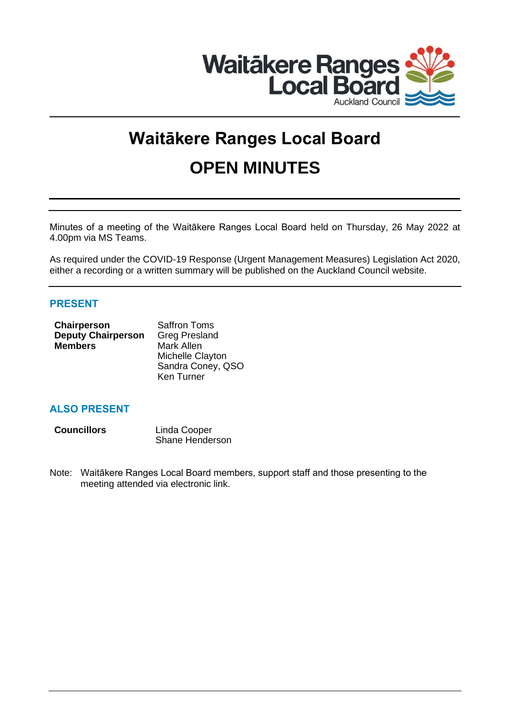

# **Waitākere Ranges Local Board OPEN MINUTES**

Minutes of a meeting of the Waitākere Ranges Local Board held on Thursday, 26 May 2022 at 4.00pm via MS Teams.

As required under the COVID-19 Response (Urgent Management Measures) Legislation Act 2020, either a recording or a written summary will be published on the Auckland Council website.

# **PRESENT**

| Chairperson               | <b>Saffron Toms</b>  |  |
|---------------------------|----------------------|--|
| <b>Deputy Chairperson</b> | <b>Greg Presland</b> |  |
| <b>Members</b>            | Mark Allen           |  |
|                           | Michelle Clayton     |  |
|                           | Sandra Coney, QSO    |  |
|                           | Ken Turner           |  |

# **ALSO PRESENT**

| <b>Councillors</b> | Linda Cooper    |
|--------------------|-----------------|
|                    | Shane Henderson |

Note: Waitākere Ranges Local Board members, support staff and those presenting to the meeting attended via electronic link.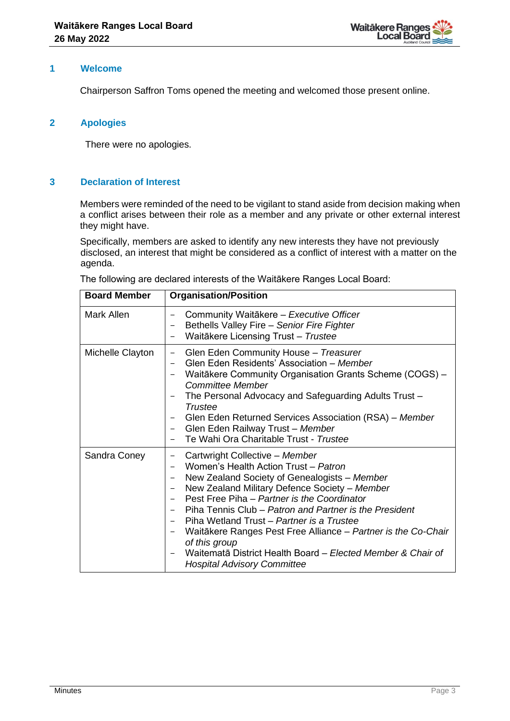

## **1 Welcome**

Chairperson Saffron Toms opened the meeting and welcomed those present online.

## **2 Apologies**

There were no apologies.

## **3 Declaration of Interest**

Members were reminded of the need to be vigilant to stand aside from decision making when a conflict arises between their role as a member and any private or other external interest they might have.

Specifically, members are asked to identify any new interests they have not previously disclosed, an interest that might be considered as a conflict of interest with a matter on the agenda.

| The following are declared interests of the Waitakere Ranges Local Board: |
|---------------------------------------------------------------------------|
|---------------------------------------------------------------------------|

| <b>Board Member</b> | <b>Organisation/Position</b>                                                                                                                                                                                                                                                                                                                                                                                                                                                                                                                                |
|---------------------|-------------------------------------------------------------------------------------------------------------------------------------------------------------------------------------------------------------------------------------------------------------------------------------------------------------------------------------------------------------------------------------------------------------------------------------------------------------------------------------------------------------------------------------------------------------|
| Mark Allen          | Community Waitākere - Executive Officer<br>Bethells Valley Fire - Senior Fire Fighter<br>Waitākere Licensing Trust - Trustee<br>$\overline{\phantom{0}}$                                                                                                                                                                                                                                                                                                                                                                                                    |
| Michelle Clayton    | Glen Eden Community House - Treasurer<br>$\qquad \qquad -$<br>Glen Eden Residents' Association - Member<br>Waitākere Community Organisation Grants Scheme (COGS) -<br><b>Committee Member</b><br>The Personal Advocacy and Safeguarding Adults Trust -<br>$\qquad \qquad -$<br>Trustee<br>Glen Eden Returned Services Association (RSA) – Member<br>Glen Eden Railway Trust - Member<br>Te Wahi Ora Charitable Trust - Trustee                                                                                                                              |
| Sandra Coney        | Cartwright Collective - Member<br>-<br>Women's Health Action Trust - Patron<br>New Zealand Society of Genealogists - Member<br>$\qquad \qquad -$<br>New Zealand Military Defence Society - Member<br>Pest Free Piha - Partner is the Coordinator<br>Piha Tennis Club – Patron and Partner is the President<br>$ -$<br>Piha Wetland Trust – Partner is a Trustee<br>Waitākere Ranges Pest Free Alliance - Partner is the Co-Chair<br>-<br>of this group<br>Waitematā District Health Board - Elected Member & Chair of<br><b>Hospital Advisory Committee</b> |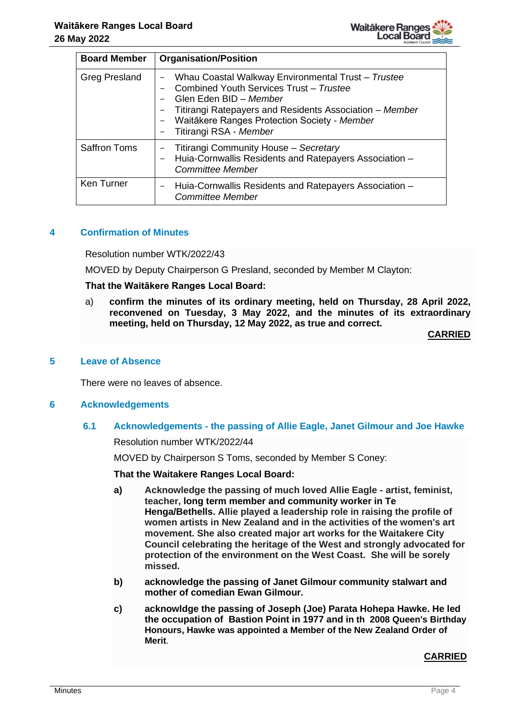| <b>Board Member</b>  | <b>Organisation/Position</b>                                                                                                                                                                                                                                 |
|----------------------|--------------------------------------------------------------------------------------------------------------------------------------------------------------------------------------------------------------------------------------------------------------|
| <b>Greg Presland</b> | Whau Coastal Walkway Environmental Trust - Trustee<br>Combined Youth Services Trust - Trustee<br>Glen Eden BID - Member<br>Titirangi Ratepayers and Residents Association – Member<br>Waitākere Ranges Protection Society - Member<br>Titirangi RSA - Member |
| <b>Saffron Toms</b>  | Titirangi Community House - Secretary<br>Huia-Cornwallis Residents and Ratepayers Association -<br><b>Committee Member</b>                                                                                                                                   |
| Ken Turner           | Huia-Cornwallis Residents and Ratepayers Association -<br><b>Committee Member</b>                                                                                                                                                                            |

# **4 Confirmation of Minutes**

Resolution number WTK/2022/43

MOVED by Deputy Chairperson G Presland, seconded by Member M Clayton:

#### **That the Waitākere Ranges Local Board:**

a) **confirm the minutes of its ordinary meeting, held on Thursday, 28 April 2022, reconvened on Tuesday, 3 May 2022, and the minutes of its extraordinary meeting, held on Thursday, 12 May 2022, as true and correct.**

## **CARRIED**

## **5 Leave of Absence**

There were no leaves of absence.

#### **6 Acknowledgements**

## **6.1 Acknowledgements - the passing of Allie Eagle, Janet Gilmour and Joe Hawke**

Resolution number WTK/2022/44

MOVED by Chairperson S Toms, seconded by Member S Coney:

#### **That the Waitakere Ranges Local Board:**

- **a) Acknowledge the passing of much loved Allie Eagle - artist, feminist, teacher, long term member and community worker in Te Henga/Bethells. Allie played a leadership role in raising the profile of women artists in New Zealand and in the activities of the women's art movement. She also created major art works for the Waitakere City Council celebrating the heritage of the West and strongly advocated for protection of the environment on the West Coast. She will be sorely missed.**
- **b) acknowledge the passing of Janet Gilmour community stalwart and mother of comedian Ewan Gilmour.**
- **c) acknowldge the passing of Joseph (Joe) Parata Hohepa Hawke. He led the occupation of Bastion Point in 1977 and in th [2008 Queen's Birthday](https://en.wikipedia.org/wiki/2008_Birthday_Honours_(New_Zealand))  [Honours,](https://en.wikipedia.org/wiki/2008_Birthday_Honours_(New_Zealand)) Hawke was appointed a [Member of the New Zealand Order of](https://en.wikipedia.org/wiki/Member_of_the_New_Zealand_Order_of_Merit)  [Merit](https://en.wikipedia.org/wiki/Member_of_the_New_Zealand_Order_of_Merit)**.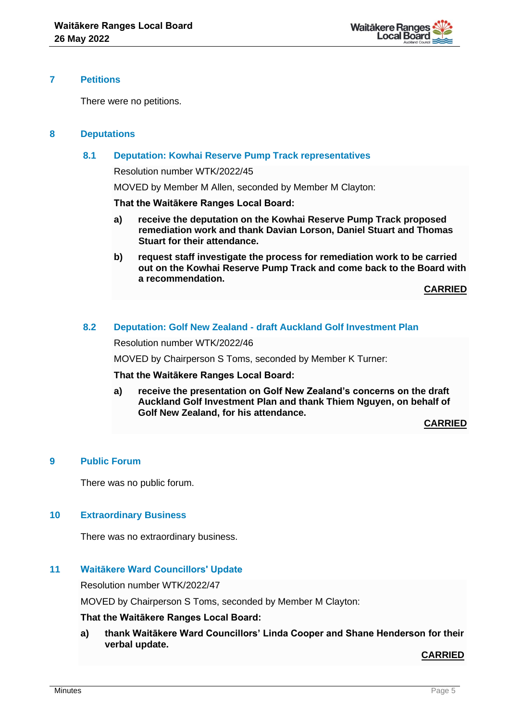

#### **7 Petitions**

There were no petitions.

## **8 Deputations**

## **8.1 Deputation: Kowhai Reserve Pump Track representatives**

Resolution number WTK/2022/45

MOVED by Member M Allen, seconded by Member M Clayton:

#### **That the Waitākere Ranges Local Board:**

- **a) receive the deputation on the Kowhai Reserve Pump Track proposed remediation work and thank Davian Lorson, Daniel Stuart and Thomas Stuart for their attendance.**
- **b) request staff investigate the process for remediation work to be carried out on the Kowhai Reserve Pump Track and come back to the Board with a recommendation.**

**CARRIED**

## **8.2 Deputation: Golf New Zealand - draft Auckland Golf Investment Plan**

Resolution number WTK/2022/46

MOVED by Chairperson S Toms, seconded by Member K Turner:

#### **That the Waitākere Ranges Local Board:**

**a) receive the presentation on Golf New Zealand's concerns on the draft Auckland Golf Investment Plan and thank Thiem Nguyen, on behalf of Golf New Zealand, for his attendance.**

**CARRIED**

## **9 Public Forum**

There was no public forum.

#### **10 Extraordinary Business**

There was no extraordinary business.

## **11 Waitākere Ward Councillors' Update**

Resolution number WTK/2022/47

MOVED by Chairperson S Toms, seconded by Member M Clayton:

#### **That the Waitākere Ranges Local Board:**

**a) thank Waitākere Ward Councillors' Linda Cooper and Shane Henderson for their verbal update.**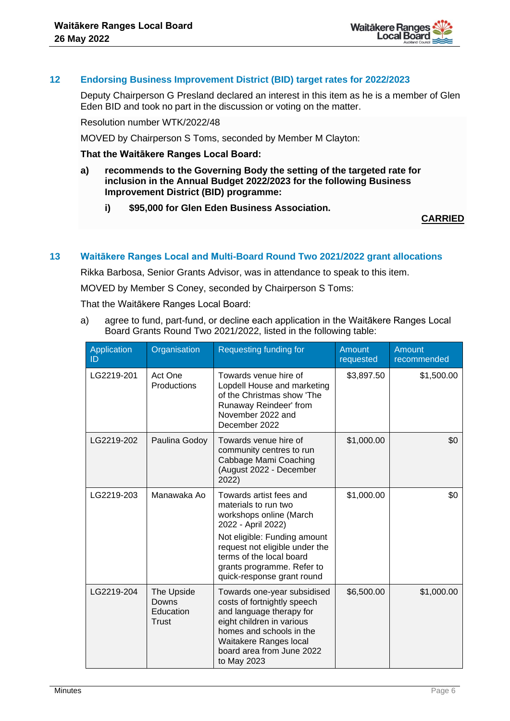

## **12 Endorsing Business Improvement District (BID) target rates for 2022/2023**

Deputy Chairperson G Presland declared an interest in this item as he is a member of Glen Eden BID and took no part in the discussion or voting on the matter.

Resolution number WTK/2022/48

MOVED by Chairperson S Toms, seconded by Member M Clayton:

**That the Waitākere Ranges Local Board:**

- **a) recommends to the Governing Body the setting of the targeted rate for inclusion in the Annual Budget 2022/2023 for the following Business Improvement District (BID) programme:**
	- **i) \$95,000 for Glen Eden Business Association.**

#### **CARRIED**

#### **13 Waitākere Ranges Local and Multi-Board Round Two 2021/2022 grant allocations**

Rikka Barbosa, Senior Grants Advisor, was in attendance to speak to this item.

MOVED by Member S Coney, seconded by Chairperson S Toms:

That the Waitākere Ranges Local Board:

a) agree to fund, part-fund, or decline each application in the Waitākere Ranges Local Board Grants Round Two 2021/2022, listed in the following table:

| <b>Application</b><br>ID | Organisation                              | Requesting funding for                                                                                                                                                                                                                                     | <b>Amount</b><br>requested | Amount<br>recommended |
|--------------------------|-------------------------------------------|------------------------------------------------------------------------------------------------------------------------------------------------------------------------------------------------------------------------------------------------------------|----------------------------|-----------------------|
| LG2219-201               | Act One<br>Productions                    | Towards venue hire of<br>Lopdell House and marketing<br>of the Christmas show 'The<br>Runaway Reindeer' from<br>November 2022 and<br>December 2022                                                                                                         | \$3,897.50                 | \$1,500.00            |
| LG2219-202               | Paulina Godoy                             | Towards venue hire of<br>community centres to run<br>Cabbage Mami Coaching<br>(August 2022 - December<br>2022)                                                                                                                                             | \$1,000.00                 | \$0                   |
| LG2219-203               | Manawaka Ao                               | Towards artist fees and<br>materials to run two<br>workshops online (March<br>2022 - April 2022)<br>Not eligible: Funding amount<br>request not eligible under the<br>terms of the local board<br>grants programme. Refer to<br>quick-response grant round | \$1,000.00                 | \$0                   |
| LG2219-204               | The Upside<br>Downs<br>Education<br>Trust | Towards one-year subsidised<br>costs of fortnightly speech<br>and language therapy for<br>eight children in various<br>homes and schools in the<br>Waitakere Ranges local<br>board area from June 2022<br>to May 2023                                      | \$6,500.00                 | \$1,000.00            |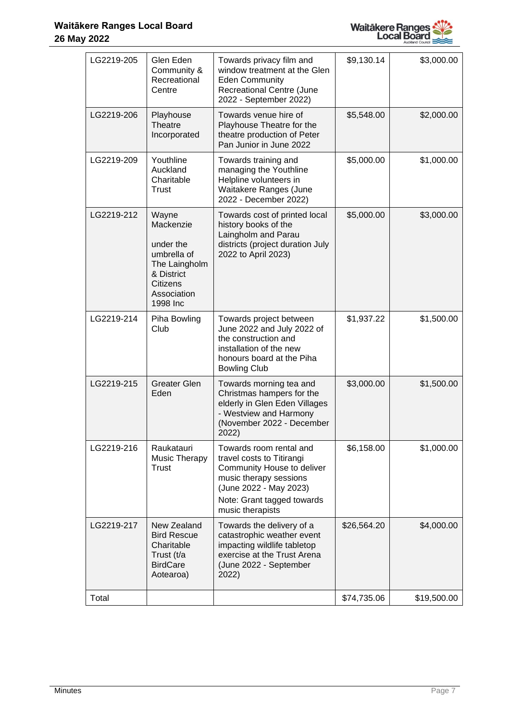

| LG2219-205 | Glen Eden<br>Community &<br>Recreational<br>Centre                                                                   | Towards privacy film and<br>window treatment at the Glen<br><b>Eden Community</b><br>Recreational Centre (June<br>2022 - September 2022)                                                 | \$9,130.14  | \$3,000.00  |
|------------|----------------------------------------------------------------------------------------------------------------------|------------------------------------------------------------------------------------------------------------------------------------------------------------------------------------------|-------------|-------------|
| LG2219-206 | Playhouse<br>Theatre<br>Incorporated                                                                                 | Towards venue hire of<br>Playhouse Theatre for the<br>theatre production of Peter<br>Pan Junior in June 2022                                                                             | \$5,548.00  | \$2,000.00  |
| LG2219-209 | Youthline<br>Auckland<br>Charitable<br>Trust                                                                         | Towards training and<br>managing the Youthline<br>Helpline volunteers in<br>Waitakere Ranges (June<br>2022 - December 2022)                                                              | \$5,000.00  | \$1,000.00  |
| LG2219-212 | Wayne<br>Mackenzie<br>under the<br>umbrella of<br>The Laingholm<br>& District<br>Citizens<br>Association<br>1998 Inc | Towards cost of printed local<br>history books of the<br>Laingholm and Parau<br>districts (project duration July<br>2022 to April 2023)                                                  | \$5,000.00  | \$3,000.00  |
| LG2219-214 | Piha Bowling<br>Club                                                                                                 | Towards project between<br>June 2022 and July 2022 of<br>the construction and<br>installation of the new<br>honours board at the Piha<br><b>Bowling Club</b>                             | \$1,937.22  | \$1,500.00  |
| LG2219-215 | <b>Greater Glen</b><br>Eden                                                                                          | Towards morning tea and<br>Christmas hampers for the<br>elderly in Glen Eden Villages<br>- Westview and Harmony<br>(November 2022 - December<br>2022)                                    | \$3,000.00  | \$1,500.00  |
| LG2219-216 | Raukatauri<br>Music Therapy<br>Trust                                                                                 | Towards room rental and<br>travel costs to Titirangi<br>Community House to deliver<br>music therapy sessions<br>(June 2022 - May 2023)<br>Note: Grant tagged towards<br>music therapists | \$6,158.00  | \$1,000.00  |
| LG2219-217 | New Zealand<br><b>Bird Rescue</b><br>Charitable<br>Trust (t/a<br><b>BirdCare</b><br>Aotearoa)                        | Towards the delivery of a<br>catastrophic weather event<br>impacting wildlife tabletop<br>exercise at the Trust Arena<br>(June 2022 - September<br>2022)                                 | \$26,564.20 | \$4,000.00  |
| Total      |                                                                                                                      |                                                                                                                                                                                          | \$74,735.06 | \$19,500.00 |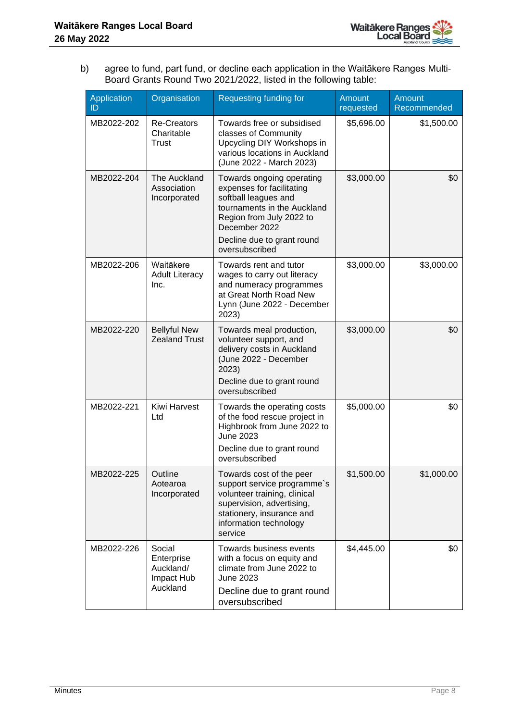

b) agree to fund, part fund, or decline each application in the Waitākere Ranges Multi-Board Grants Round Two 2021/2022, listed in the following table:

| Application<br>ID | Organisation                                                | <b>Requesting funding for</b>                                                                                                                                                                              | <b>Amount</b><br>requested | <b>Amount</b><br>Recommended |
|-------------------|-------------------------------------------------------------|------------------------------------------------------------------------------------------------------------------------------------------------------------------------------------------------------------|----------------------------|------------------------------|
| MB2022-202        | <b>Re-Creators</b><br>Charitable<br>Trust                   | Towards free or subsidised<br>classes of Community<br>Upcycling DIY Workshops in<br>various locations in Auckland<br>(June 2022 - March 2023)                                                              | \$5,696.00                 | \$1,500.00                   |
| MB2022-204        | The Auckland<br>Association<br>Incorporated                 | Towards ongoing operating<br>expenses for facilitating<br>softball leagues and<br>tournaments in the Auckland<br>Region from July 2022 to<br>December 2022<br>Decline due to grant round<br>oversubscribed | \$3,000.00                 | \$0                          |
| MB2022-206        | Waitākere<br><b>Adult Literacy</b><br>Inc.                  | Towards rent and tutor<br>wages to carry out literacy<br>and numeracy programmes<br>at Great North Road New<br>Lynn (June 2022 - December<br>2023)                                                         | \$3,000.00                 | \$3,000.00                   |
| MB2022-220        | <b>Bellyful New</b><br><b>Zealand Trust</b>                 | Towards meal production,<br>volunteer support, and<br>delivery costs in Auckland<br>(June 2022 - December<br>2023)<br>Decline due to grant round<br>oversubscribed                                         | \$3,000.00                 | \$0                          |
| MB2022-221        | Kiwi Harvest<br>Ltd                                         | Towards the operating costs<br>of the food rescue project in<br>Highbrook from June 2022 to<br><b>June 2023</b><br>Decline due to grant round<br>oversubscribed                                            | \$5,000.00                 | \$0                          |
| MB2022-225        | Outline<br>Aotearoa<br>Incorporated                         | Towards cost of the peer<br>support service programme's<br>volunteer training, clinical<br>supervision, advertising,<br>stationery, insurance and<br>information technology<br>service                     | \$1,500.00                 | \$1,000.00                   |
| MB2022-226        | Social<br>Enterprise<br>Auckland/<br>Impact Hub<br>Auckland | Towards business events<br>with a focus on equity and<br>climate from June 2022 to<br>June 2023<br>Decline due to grant round<br>oversubscribed                                                            | \$4,445.00                 | \$0                          |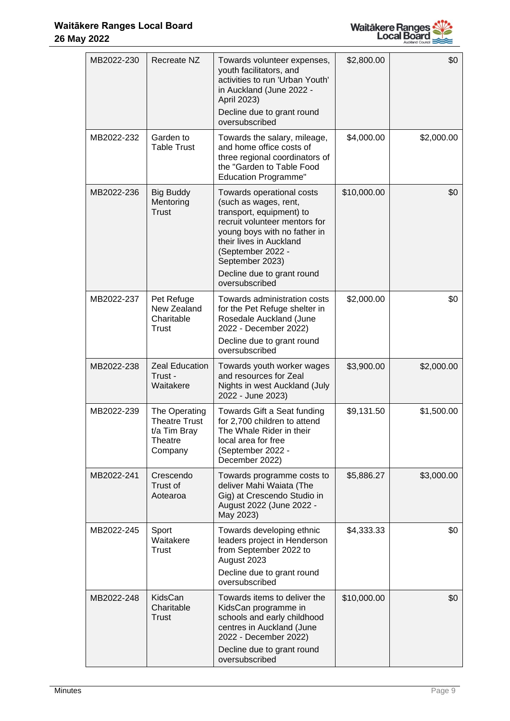

| MB2022-230 | Recreate NZ                                                                 | Towards volunteer expenses,<br>youth facilitators, and<br>activities to run 'Urban Youth'<br>in Auckland (June 2022 -<br>April 2023)<br>Decline due to grant round<br>oversubscribed                                                                               | \$2,800.00  | \$0        |
|------------|-----------------------------------------------------------------------------|--------------------------------------------------------------------------------------------------------------------------------------------------------------------------------------------------------------------------------------------------------------------|-------------|------------|
| MB2022-232 | Garden to<br><b>Table Trust</b>                                             | Towards the salary, mileage,<br>and home office costs of<br>three regional coordinators of<br>the "Garden to Table Food<br><b>Education Programme"</b>                                                                                                             | \$4,000.00  | \$2,000.00 |
| MB2022-236 | <b>Big Buddy</b><br>Mentoring<br><b>Trust</b>                               | Towards operational costs<br>(such as wages, rent,<br>transport, equipment) to<br>recruit volunteer mentors for<br>young boys with no father in<br>their lives in Auckland<br>(September 2022 -<br>September 2023)<br>Decline due to grant round<br>oversubscribed | \$10,000.00 | \$0        |
| MB2022-237 | Pet Refuge<br>New Zealand<br>Charitable<br><b>Trust</b>                     | Towards administration costs<br>for the Pet Refuge shelter in<br>Rosedale Auckland (June<br>2022 - December 2022)<br>Decline due to grant round<br>oversubscribed                                                                                                  | \$2,000.00  | \$0        |
| MB2022-238 | <b>Zeal Education</b><br>Trust -<br>Waitakere                               | Towards youth worker wages<br>and resources for Zeal<br>Nights in west Auckland (July<br>2022 - June 2023)                                                                                                                                                         | \$3,900.00  | \$2,000.00 |
| MB2022-239 | The Operating<br><b>Theatre Trust</b><br>t/a Tim Bray<br>Theatre<br>Company | Towards Gift a Seat funding<br>for 2,700 children to attend<br>The Whale Rider in their<br>local area for free<br>(September 2022 -<br>December 2022)                                                                                                              | \$9,131.50  | \$1,500.00 |
| MB2022-241 | Crescendo<br>Trust of<br>Aotearoa                                           | Towards programme costs to<br>deliver Mahi Waiata (The<br>Gig) at Crescendo Studio in<br>August 2022 (June 2022 -<br>May 2023)                                                                                                                                     | \$5,886.27  | \$3,000.00 |
| MB2022-245 | Sport<br>Waitakere<br>Trust                                                 | Towards developing ethnic<br>leaders project in Henderson<br>from September 2022 to<br>August 2023<br>Decline due to grant round<br>oversubscribed                                                                                                                 | \$4,333.33  | \$0        |
| MB2022-248 | KidsCan<br>Charitable<br>Trust                                              | Towards items to deliver the<br>KidsCan programme in<br>schools and early childhood<br>centres in Auckland (June<br>2022 - December 2022)<br>Decline due to grant round<br>oversubscribed                                                                          | \$10,000.00 | \$0        |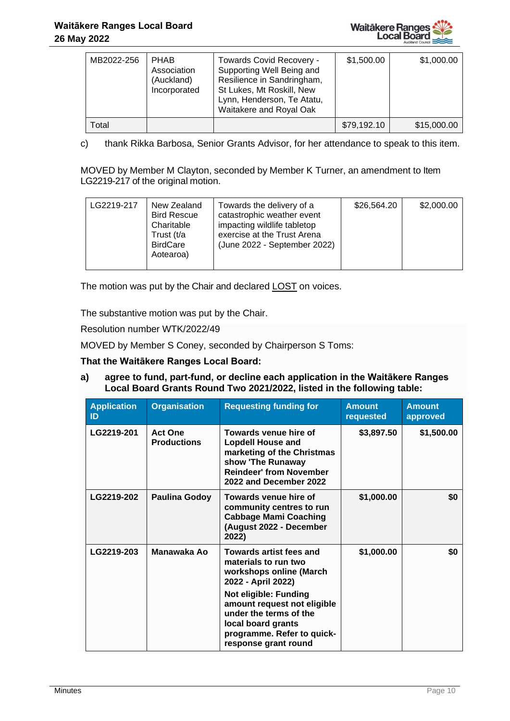

| MB2022-256 | <b>PHAB</b><br>Association<br>(Auckland)<br>Incorporated | Towards Covid Recovery -<br>Supporting Well Being and<br>Resilience in Sandringham,<br>St Lukes, Mt Roskill, New<br>Lynn, Henderson, Te Atatu,<br>Waitakere and Royal Oak | \$1,500.00  | \$1,000.00  |
|------------|----------------------------------------------------------|---------------------------------------------------------------------------------------------------------------------------------------------------------------------------|-------------|-------------|
| Γotal      |                                                          |                                                                                                                                                                           | \$79,192.10 | \$15,000.00 |

c) thank Rikka Barbosa, Senior Grants Advisor, for her attendance to speak to this item.

MOVED by Member M Clayton, seconded by Member K Turner, an amendment to Item LG2219-217 of the original motion.

| LG2219-217 | New Zealand<br><b>Bird Rescue</b><br>Charitable<br>Trust (t/a<br><b>BirdCare</b><br>Aotearoa) | Towards the delivery of a<br>catastrophic weather event<br>impacting wildlife tabletop<br>exercise at the Trust Arena<br>(June 2022 - September 2022) | \$26,564.20 | \$2,000.00 |
|------------|-----------------------------------------------------------------------------------------------|-------------------------------------------------------------------------------------------------------------------------------------------------------|-------------|------------|
|------------|-----------------------------------------------------------------------------------------------|-------------------------------------------------------------------------------------------------------------------------------------------------------|-------------|------------|

The motion was put by the Chair and declared LOST on voices.

The substantive motion was put by the Chair.

Resolution number WTK/2022/49

MOVED by Member S Coney, seconded by Chairperson S Toms:

#### **That the Waitākere Ranges Local Board:**

**a) agree to fund, part-fund, or decline each application in the Waitākere Ranges Local Board Grants Round Two 2021/2022, listed in the following table:**

| <b>Application</b><br>ID | <b>Organisation</b>                  | <b>Requesting funding for</b>                                                                                                                                                                                                                                         | <b>Amount</b><br>requested | <b>Amount</b><br>approved |
|--------------------------|--------------------------------------|-----------------------------------------------------------------------------------------------------------------------------------------------------------------------------------------------------------------------------------------------------------------------|----------------------------|---------------------------|
| LG2219-201               | <b>Act One</b><br><b>Productions</b> | Towards venue hire of<br><b>Lopdell House and</b><br>marketing of the Christmas<br>show 'The Runaway<br><b>Reindeer' from November</b><br>2022 and December 2022                                                                                                      | \$3,897.50                 | \$1,500.00                |
| LG2219-202               | <b>Paulina Godoy</b>                 | Towards venue hire of<br>community centres to run<br><b>Cabbage Mami Coaching</b><br>(August 2022 - December<br>2022)                                                                                                                                                 | \$1,000.00                 | \$0                       |
| LG2219-203               | Manawaka Ao                          | <b>Towards artist fees and</b><br>materials to run two<br>workshops online (March<br>2022 - April 2022)<br>Not eligible: Funding<br>amount request not eligible<br>under the terms of the<br>local board grants<br>programme. Refer to quick-<br>response grant round | \$1,000.00                 | \$0                       |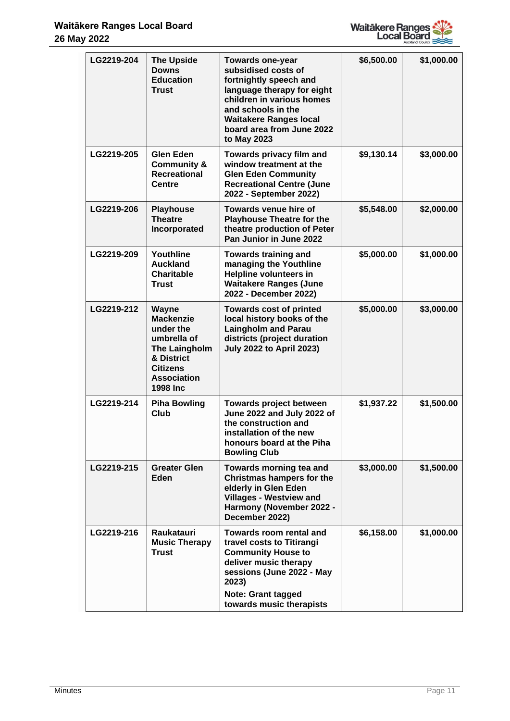

| LG2219-204 | <b>The Upside</b><br><b>Downs</b><br><b>Education</b><br><b>Trust</b>                                                                     | <b>Towards one-year</b><br>subsidised costs of<br>fortnightly speech and<br>language therapy for eight<br>children in various homes<br>and schools in the<br><b>Waitakere Ranges local</b><br>board area from June 2022<br>to May 2023 | \$6,500.00 | \$1,000.00 |
|------------|-------------------------------------------------------------------------------------------------------------------------------------------|----------------------------------------------------------------------------------------------------------------------------------------------------------------------------------------------------------------------------------------|------------|------------|
| LG2219-205 | <b>Glen Eden</b><br><b>Community &amp;</b><br>Recreational<br><b>Centre</b>                                                               | Towards privacy film and<br>window treatment at the<br><b>Glen Eden Community</b><br><b>Recreational Centre (June</b><br>2022 - September 2022)                                                                                        | \$9,130.14 | \$3,000.00 |
| LG2219-206 | <b>Playhouse</b><br><b>Theatre</b><br>Incorporated                                                                                        | Towards venue hire of<br><b>Playhouse Theatre for the</b><br>theatre production of Peter<br>Pan Junior in June 2022                                                                                                                    | \$5,548.00 | \$2,000.00 |
| LG2219-209 | Youthline<br><b>Auckland</b><br>Charitable<br><b>Trust</b>                                                                                | <b>Towards training and</b><br>managing the Youthline<br><b>Helpline volunteers in</b><br><b>Waitakere Ranges (June</b><br>2022 - December 2022)                                                                                       | \$5,000.00 | \$1,000.00 |
| LG2219-212 | Wayne<br><b>Mackenzie</b><br>under the<br>umbrella of<br>The Laingholm<br>& District<br><b>Citizens</b><br><b>Association</b><br>1998 Inc | <b>Towards cost of printed</b><br>local history books of the<br><b>Laingholm and Parau</b><br>districts (project duration<br><b>July 2022 to April 2023)</b>                                                                           | \$5,000.00 | \$3,000.00 |
| LG2219-214 | <b>Piha Bowling</b><br><b>Club</b>                                                                                                        | <b>Towards project between</b><br>June 2022 and July 2022 of<br>the construction and<br>installation of the new<br>honours board at the Piha<br><b>Bowling Club</b>                                                                    | \$1,937.22 | \$1,500.00 |
| LG2219-215 | <b>Greater Glen</b><br>Eden                                                                                                               | Towards morning tea and<br>Christmas hampers for the<br>elderly in Glen Eden<br><b>Villages - Westview and</b><br>Harmony (November 2022 -<br>December 2022)                                                                           | \$3,000.00 | \$1,500.00 |
| LG2219-216 | Raukatauri<br><b>Music Therapy</b><br><b>Trust</b>                                                                                        | Towards room rental and<br>travel costs to Titirangi<br><b>Community House to</b><br>deliver music therapy<br>sessions (June 2022 - May<br>2023)<br><b>Note: Grant tagged</b><br>towards music therapists                              | \$6,158.00 | \$1,000.00 |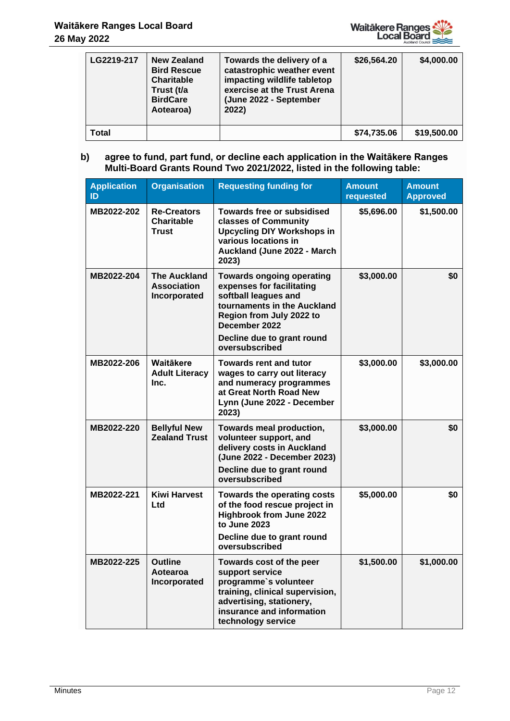

| LG2219-217 | New Zealand<br><b>Bird Rescue</b><br><b>Charitable</b><br>Trust (t/a<br><b>BirdCare</b><br>Aotearoa) | Towards the delivery of a<br>catastrophic weather event<br>impacting wildlife tabletop<br>exercise at the Trust Arena<br>(June 2022 - September<br>2022) | \$26,564.20 | \$4,000.00  |
|------------|------------------------------------------------------------------------------------------------------|----------------------------------------------------------------------------------------------------------------------------------------------------------|-------------|-------------|
| Total      |                                                                                                      |                                                                                                                                                          | \$74,735.06 | \$19,500.00 |

# **b) agree to fund, part fund, or decline each application in the Waitākere Ranges Multi-Board Grants Round Two 2021/2022, listed in the following table:**

| <b>Application</b><br>ID | <b>Organisation</b>                                       | <b>Requesting funding for</b>                                                                                                                                                                                     | <b>Amount</b><br>requested | <b>Amount</b><br><b>Approved</b> |
|--------------------------|-----------------------------------------------------------|-------------------------------------------------------------------------------------------------------------------------------------------------------------------------------------------------------------------|----------------------------|----------------------------------|
| MB2022-202               | <b>Re-Creators</b><br><b>Charitable</b><br><b>Trust</b>   | Towards free or subsidised<br>classes of Community<br><b>Upcycling DIY Workshops in</b><br>various locations in<br>Auckland (June 2022 - March<br>2023)                                                           | \$5,696.00                 | \$1,500.00                       |
| MB2022-204               | <b>The Auckland</b><br><b>Association</b><br>Incorporated | <b>Towards ongoing operating</b><br>expenses for facilitating<br>softball leagues and<br>tournaments in the Auckland<br>Region from July 2022 to<br>December 2022<br>Decline due to grant round<br>oversubscribed | \$3,000.00                 | \$0                              |
| MB2022-206               | Waitäkere<br><b>Adult Literacy</b><br>Inc.                | <b>Towards rent and tutor</b><br>wages to carry out literacy<br>and numeracy programmes<br>at Great North Road New<br>Lynn (June 2022 - December<br>2023)                                                         | \$3,000.00                 | \$3,000.00                       |
| MB2022-220               | <b>Bellyful New</b><br><b>Zealand Trust</b>               | Towards meal production,<br>volunteer support, and<br>delivery costs in Auckland<br>(June 2022 - December 2023)<br>Decline due to grant round<br>oversubscribed                                                   | \$3,000.00                 | \$0                              |
| MB2022-221               | <b>Kiwi Harvest</b><br>Ltd                                | Towards the operating costs<br>of the food rescue project in<br><b>Highbrook from June 2022</b><br>to June 2023<br>Decline due to grant round<br>oversubscribed                                                   | \$5,000.00                 | \$0                              |
| MB2022-225               | Outline<br>Aotearoa<br>Incorporated                       | <b>Towards cost of the peer</b><br>support service<br>programme's volunteer<br>training, clinical supervision,<br>advertising, stationery,<br>insurance and information<br>technology service                     | \$1,500.00                 | \$1,000.00                       |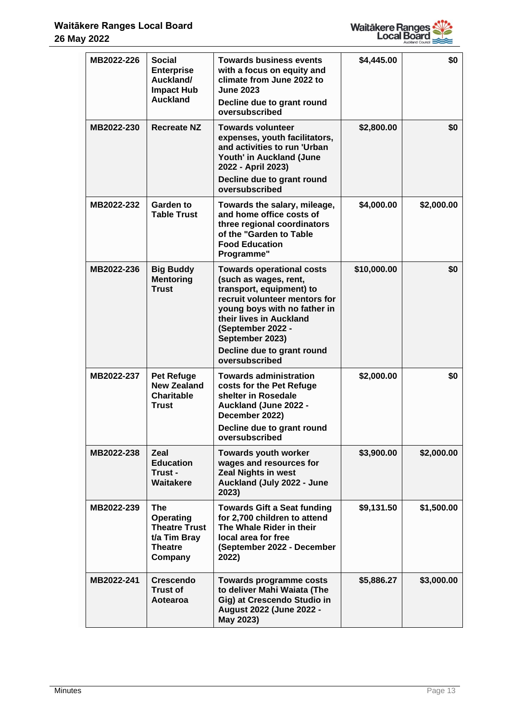

| MB2022-226 | <b>Social</b><br><b>Enterprise</b><br>Auckland/<br><b>Impact Hub</b><br><b>Auckland</b>             | <b>Towards business events</b><br>with a focus on equity and<br>climate from June 2022 to<br><b>June 2023</b><br>Decline due to grant round<br>oversubscribed                                                                                                             | \$4,445.00  | \$0        |
|------------|-----------------------------------------------------------------------------------------------------|---------------------------------------------------------------------------------------------------------------------------------------------------------------------------------------------------------------------------------------------------------------------------|-------------|------------|
| MB2022-230 | <b>Recreate NZ</b>                                                                                  | <b>Towards volunteer</b><br>expenses, youth facilitators,<br>and activities to run 'Urban<br>Youth' in Auckland (June<br>2022 - April 2023)<br>Decline due to grant round<br>oversubscribed                                                                               | \$2,800.00  | \$0        |
| MB2022-232 | Garden to<br><b>Table Trust</b>                                                                     | Towards the salary, mileage,<br>and home office costs of<br>three regional coordinators<br>of the "Garden to Table<br><b>Food Education</b><br>Programme"                                                                                                                 | \$4,000.00  | \$2,000.00 |
| MB2022-236 | <b>Big Buddy</b><br><b>Mentoring</b><br><b>Trust</b>                                                | <b>Towards operational costs</b><br>(such as wages, rent,<br>transport, equipment) to<br>recruit volunteer mentors for<br>young boys with no father in<br>their lives in Auckland<br>(September 2022 -<br>September 2023)<br>Decline due to grant round<br>oversubscribed | \$10,000.00 | \$0        |
| MB2022-237 | <b>Pet Refuge</b><br><b>New Zealand</b><br><b>Charitable</b><br><b>Trust</b>                        | Towards administration<br>costs for the Pet Refuge<br>shelter in Rosedale<br>Auckland (June 2022 -<br>December 2022)<br>Decline due to grant round<br>oversubscribed                                                                                                      | \$2,000.00  | \$0        |
| MB2022-238 | Zeal<br><b>Education</b><br>Trust -<br>Waitakere                                                    | <b>Towards youth worker</b><br>wages and resources for<br><b>Zeal Nights in west</b><br>Auckland (July 2022 - June<br>2023)                                                                                                                                               | \$3,900.00  | \$2,000.00 |
| MB2022-239 | <b>The</b><br><b>Operating</b><br><b>Theatre Trust</b><br>t/a Tim Bray<br><b>Theatre</b><br>Company | <b>Towards Gift a Seat funding</b><br>for 2,700 children to attend<br>The Whale Rider in their<br>local area for free<br>(September 2022 - December<br>2022)                                                                                                              | \$9,131.50  | \$1,500.00 |
| MB2022-241 | <b>Crescendo</b><br><b>Trust of</b><br>Aotearoa                                                     | Towards programme costs<br>to deliver Mahi Waiata (The<br>Gig) at Crescendo Studio in<br>August 2022 (June 2022 -<br>May 2023)                                                                                                                                            | \$5,886.27  | \$3,000.00 |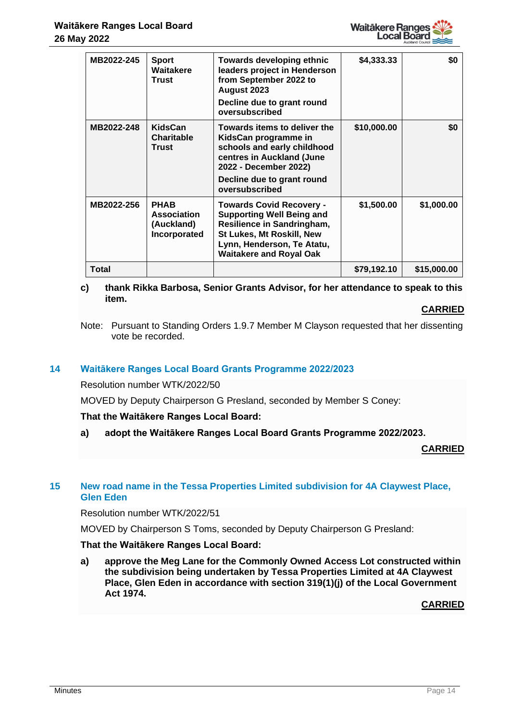

| MB2022-245 | <b>Sport</b><br>Waitakere<br><b>Trust</b>                       | <b>Towards developing ethnic</b><br>leaders project in Henderson<br>from September 2022 to<br>August 2023<br>Decline due to grant round<br>oversubscribed                                      | \$4,333.33  | \$0         |
|------------|-----------------------------------------------------------------|------------------------------------------------------------------------------------------------------------------------------------------------------------------------------------------------|-------------|-------------|
| MB2022-248 | <b>KidsCan</b><br><b>Charitable</b><br>Trust                    | Towards items to deliver the<br>KidsCan programme in<br>schools and early childhood<br>centres in Auckland (June<br>2022 - December 2022)<br>Decline due to grant round<br>oversubscribed      | \$10,000.00 | \$0         |
| MB2022-256 | <b>PHAB</b><br><b>Association</b><br>(Auckland)<br>Incorporated | <b>Towards Covid Recovery -</b><br><b>Supporting Well Being and</b><br>Resilience in Sandringham,<br>St Lukes, Mt Roskill, New<br>Lynn, Henderson, Te Atatu,<br><b>Waitakere and Royal Oak</b> | \$1,500.00  | \$1,000.00  |
| Total      |                                                                 |                                                                                                                                                                                                | \$79,192.10 | \$15,000.00 |

# **c) thank Rikka Barbosa, Senior Grants Advisor, for her attendance to speak to this item.**

#### **CARRIED**

Note: Pursuant to Standing Orders 1.9.7 Member M Clayson requested that her dissenting vote be recorded.

## **14 Waitākere Ranges Local Board Grants Programme 2022/2023**

## Resolution number WTK/2022/50

MOVED by Deputy Chairperson G Presland, seconded by Member S Coney:

## **That the Waitākere Ranges Local Board:**

**a) adopt the Waitākere Ranges Local Board Grants Programme 2022/2023.**

**CARRIED**

## **15 New road name in the Tessa Properties Limited subdivision for 4A Claywest Place, Glen Eden**

#### Resolution number WTK/2022/51

MOVED by Chairperson S Toms, seconded by Deputy Chairperson G Presland:

#### **That the Waitākere Ranges Local Board:**

**a) approve the Meg Lane for the Commonly Owned Access Lot constructed within the subdivision being undertaken by Tessa Properties Limited at 4A Claywest Place, Glen Eden in accordance with section 319(1)(j) of the Local Government Act 1974.**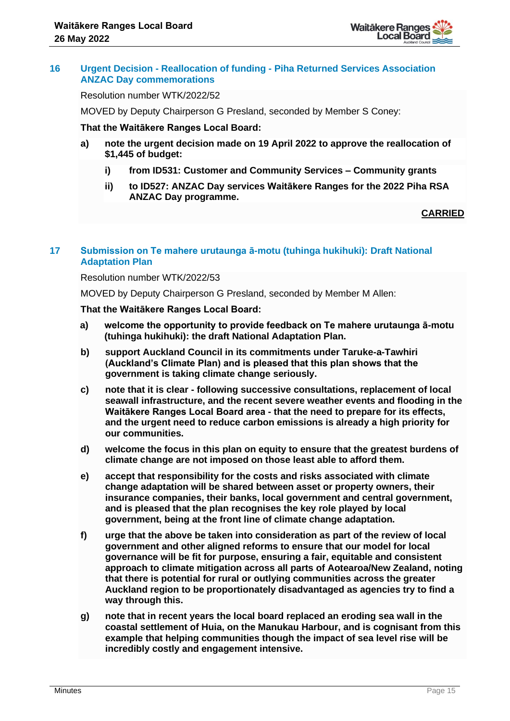

## **16 Urgent Decision - Reallocation of funding - Piha Returned Services Association ANZAC Day commemorations**

Resolution number WTK/2022/52

MOVED by Deputy Chairperson G Presland, seconded by Member S Coney:

#### **That the Waitākere Ranges Local Board:**

- **a) note the urgent decision made on 19 April 2022 to approve the reallocation of \$1,445 of budget:**
	- **i) from ID531: Customer and Community Services – Community grants**
	- **ii) to ID527: ANZAC Day services Waitākere Ranges for the 2022 Piha RSA ANZAC Day programme.**

#### **CARRIED**

## **17 Submission on Te mahere urutaunga ā-motu (tuhinga hukihuki): Draft National Adaptation Plan**

#### Resolution number WTK/2022/53

MOVED by Deputy Chairperson G Presland, seconded by Member M Allen:

**That the Waitākere Ranges Local Board:**

- **a) welcome the opportunity to provide feedback on Te mahere urutaunga ā-motu (tuhinga hukihuki): the draft National Adaptation Plan.**
- **b) support Auckland Council in its commitments under Taruke-a-Tawhiri (Auckland's Climate Plan) and is pleased that this plan shows that the government is taking climate change seriously.**
- **c) note that it is clear - following successive consultations, replacement of local seawall infrastructure, and the recent severe weather events and flooding in the Waitākere Ranges Local Board area - that the need to prepare for its effects, and the urgent need to reduce carbon emissions is already a high priority for our communities.**
- **d) welcome the focus in this plan on equity to ensure that the greatest burdens of climate change are not imposed on those least able to afford them.**
- **e) accept that responsibility for the costs and risks associated with climate change adaptation will be shared between asset or property owners, their insurance companies, their banks, local government and central government, and is pleased that the plan recognises the key role played by local government, being at the front line of climate change adaptation.**
- **f) urge that the above be taken into consideration as part of the review of local government and other aligned reforms to ensure that our model for local governance will be fit for purpose, ensuring a fair, equitable and consistent approach to climate mitigation across all parts of Aotearoa/New Zealand, noting that there is potential for rural or outlying communities across the greater Auckland region to be proportionately disadvantaged as agencies try to find a way through this.**
- **g) note that in recent years the local board replaced an eroding sea wall in the coastal settlement of Huia, on the Manukau Harbour, and is cognisant from this example that helping communities though the impact of sea level rise will be incredibly costly and engagement intensive.**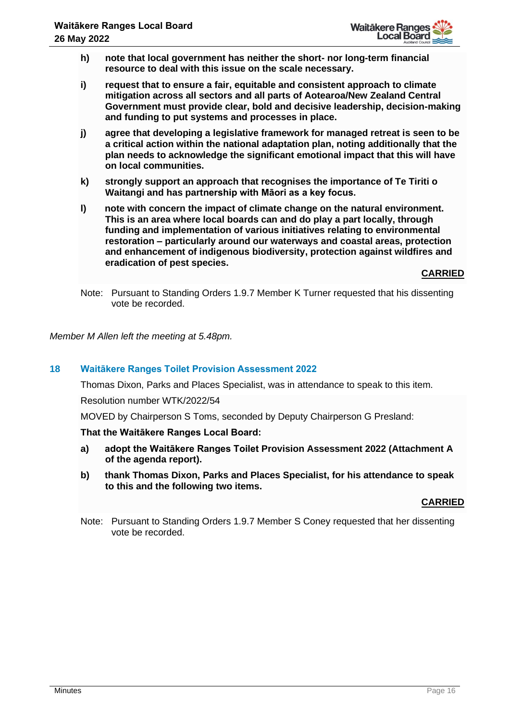

- **h) note that local government has neither the short- nor long-term financial resource to deal with this issue on the scale necessary.**
- **i) request that to ensure a fair, equitable and consistent approach to climate mitigation across all sectors and all parts of Aotearoa/New Zealand Central Government must provide clear, bold and decisive leadership, decision-making and funding to put systems and processes in place.**
- **j) agree that developing a legislative framework for managed retreat is seen to be a critical action within the national adaptation plan, noting additionally that the plan needs to acknowledge the significant emotional impact that this will have on local communities.**
- **k) strongly support an approach that recognises the importance of Te Tiriti o Waitangi and has partnership with Māori as a key focus.**
- **l) note with concern the impact of climate change on the natural environment. This is an area where local boards can and do play a part locally, through funding and implementation of various initiatives relating to environmental restoration – particularly around our waterways and coastal areas, protection and enhancement of indigenous biodiversity, protection against wildfires and eradication of pest species.**

**CARRIED**

Note: Pursuant to Standing Orders 1.9.7 Member K Turner requested that his dissenting vote be recorded.

*Member M Allen left the meeting at 5.48pm.*

## **18 Waitākere Ranges Toilet Provision Assessment 2022**

Thomas Dixon, Parks and Places Specialist, was in attendance to speak to this item.

Resolution number WTK/2022/54

MOVED by Chairperson S Toms, seconded by Deputy Chairperson G Presland:

**That the Waitākere Ranges Local Board:**

- **a) adopt the Waitākere Ranges Toilet Provision Assessment 2022 (Attachment A of the agenda report).**
- **b) thank Thomas Dixon, Parks and Places Specialist, for his attendance to speak to this and the following two items.**

#### **CARRIED**

Note: Pursuant to Standing Orders 1.9.7 Member S Coney requested that her dissenting vote be recorded.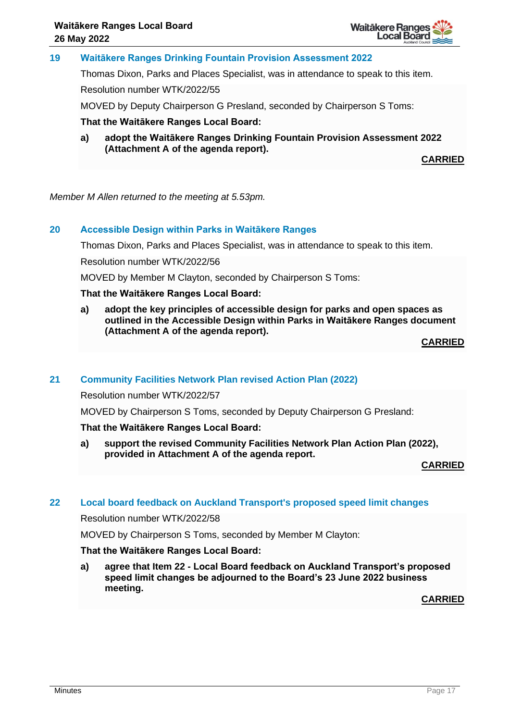

## **19 Waitākere Ranges Drinking Fountain Provision Assessment 2022**

Thomas Dixon, Parks and Places Specialist, was in attendance to speak to this item.

Resolution number WTK/2022/55

MOVED by Deputy Chairperson G Presland, seconded by Chairperson S Toms:

**That the Waitākere Ranges Local Board:**

**a) adopt the Waitākere Ranges Drinking Fountain Provision Assessment 2022 (Attachment A of the agenda report).**

**CARRIED**

*Member M Allen returned to the meeting at 5.53pm.*

## **20 Accessible Design within Parks in Waitākere Ranges**

Thomas Dixon, Parks and Places Specialist, was in attendance to speak to this item.

Resolution number WTK/2022/56

MOVED by Member M Clayton, seconded by Chairperson S Toms:

#### **That the Waitākere Ranges Local Board:**

**a) adopt the key principles of accessible design for parks and open spaces as outlined in the Accessible Design within Parks in Waitākere Ranges document (Attachment A of the agenda report).**

**CARRIED**

#### **21 Community Facilities Network Plan revised Action Plan (2022)**

Resolution number WTK/2022/57

MOVED by Chairperson S Toms, seconded by Deputy Chairperson G Presland:

#### **That the Waitākere Ranges Local Board:**

**a) support the revised Community Facilities Network Plan Action Plan (2022), provided in Attachment A of the agenda report.** 

**CARRIED**

#### **22 Local board feedback on Auckland Transport's proposed speed limit changes**

Resolution number WTK/2022/58

MOVED by Chairperson S Toms, seconded by Member M Clayton:

#### **That the Waitākere Ranges Local Board:**

**a) agree that Item 22 - Local Board feedback on Auckland Transport's proposed speed limit changes be adjourned to the Board's 23 June 2022 business meeting.**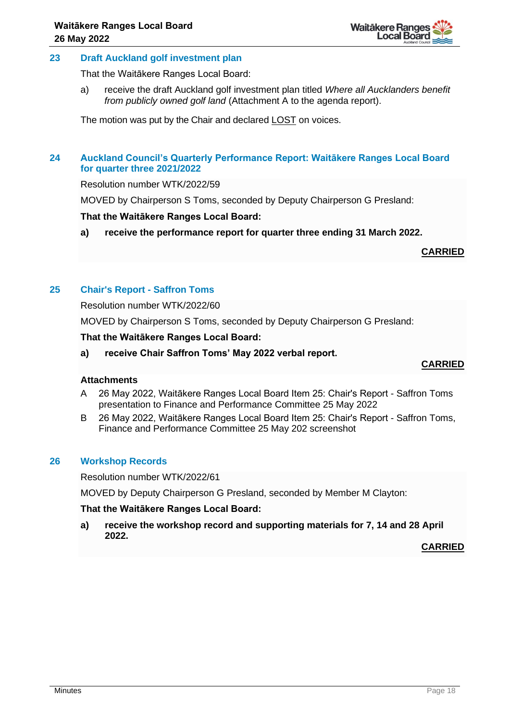

## **23 Draft Auckland golf investment plan**

That the Waitākere Ranges Local Board:

a) receive the draft Auckland golf investment plan titled *Where all Aucklanders benefit from publicly owned golf land* (Attachment A to the agenda report).

The motion was put by the Chair and declared LOST on voices.

## **24 Auckland Council's Quarterly Performance Report: Waitākere Ranges Local Board for quarter three 2021/2022**

Resolution number WTK/2022/59

MOVED by Chairperson S Toms, seconded by Deputy Chairperson G Presland:

#### **That the Waitākere Ranges Local Board:**

**a) receive the performance report for quarter three ending 31 March 2022.**

**CARRIED**

## **25 Chair's Report - Saffron Toms**

Resolution number WTK/2022/60

MOVED by Chairperson S Toms, seconded by Deputy Chairperson G Presland:

#### **That the Waitākere Ranges Local Board:**

**a) receive Chair Saffron Toms' May 2022 verbal report.**

## **CARRIED**

#### **Attachments**

- A 26 May 2022, Waitākere Ranges Local Board Item 25: Chair's Report Saffron Toms presentation to Finance and Performance Committee 25 May 2022
- B 26 May 2022, Waitākere Ranges Local Board Item 25: Chair's Report Saffron Toms, Finance and Performance Committee 25 May 202 screenshot

## **26 Workshop Records**

Resolution number WTK/2022/61

MOVED by Deputy Chairperson G Presland, seconded by Member M Clayton:

#### **That the Waitākere Ranges Local Board:**

**a) receive the workshop record and supporting materials for 7, 14 and 28 April 2022.**